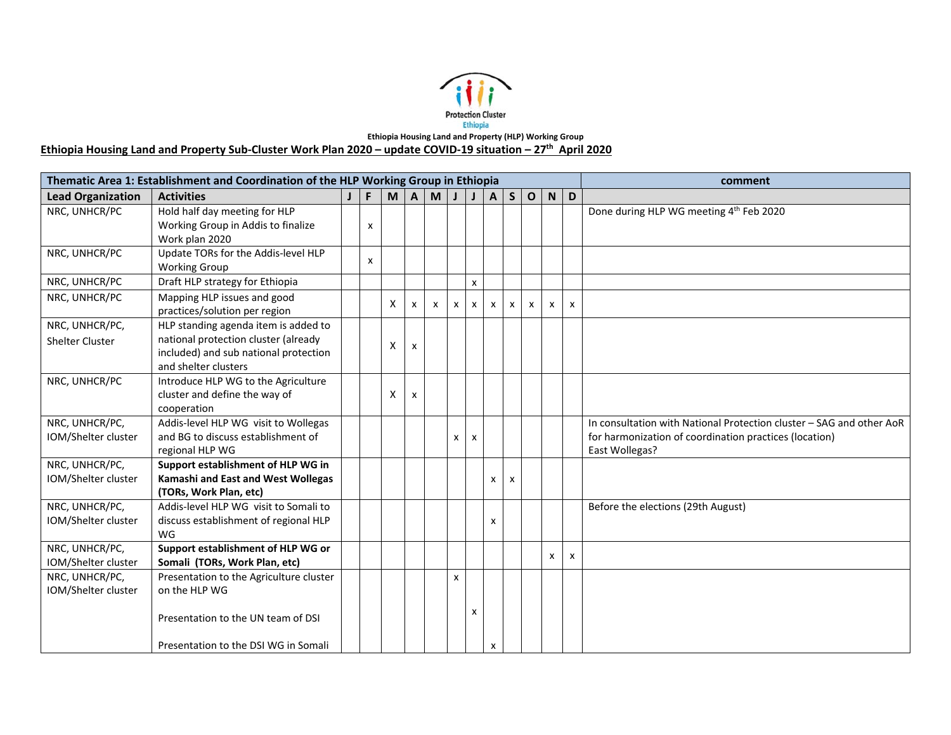

**Ethiopia Housing Land and Property Sub‐Cluster Work Plan 2020 – update COVID‐19 situation – 27th April 2020** 

|                          | Thematic Area 1: Establishment and Coordination of the HLP Working Group in Ethiopia |   |   |                           |   |                           |                |                           |            |              |              |              | comment                                                              |
|--------------------------|--------------------------------------------------------------------------------------|---|---|---------------------------|---|---------------------------|----------------|---------------------------|------------|--------------|--------------|--------------|----------------------------------------------------------------------|
| <b>Lead Organization</b> | <b>Activities</b>                                                                    | F | M | A                         | M |                           | $\mathbf{J}$   |                           | $A \mid S$ | $\mathbf 0$  |              | $N$ D        |                                                                      |
| NRC, UNHCR/PC            | Hold half day meeting for HLP                                                        |   |   |                           |   |                           |                |                           |            |              |              |              | Done during HLP WG meeting 4 <sup>th</sup> Feb 2020                  |
|                          | Working Group in Addis to finalize                                                   | X |   |                           |   |                           |                |                           |            |              |              |              |                                                                      |
|                          | Work plan 2020                                                                       |   |   |                           |   |                           |                |                           |            |              |              |              |                                                                      |
| NRC, UNHCR/PC            | Update TORs for the Addis-level HLP                                                  | X |   |                           |   |                           |                |                           |            |              |              |              |                                                                      |
| NRC, UNHCR/PC            | <b>Working Group</b>                                                                 |   |   |                           |   |                           |                |                           |            |              |              |              |                                                                      |
|                          | Draft HLP strategy for Ethiopia                                                      |   |   |                           |   |                           | $\pmb{\times}$ |                           |            |              |              |              |                                                                      |
| NRC, UNHCR/PC            | Mapping HLP issues and good<br>practices/solution per region                         |   | X | X                         | X | $\boldsymbol{\mathsf{x}}$ | x              | $\boldsymbol{\mathsf{x}}$ | x          | $\mathsf{x}$ | x            | $\mathsf{x}$ |                                                                      |
| NRC, UNHCR/PC,           | HLP standing agenda item is added to                                                 |   |   |                           |   |                           |                |                           |            |              |              |              |                                                                      |
| <b>Shelter Cluster</b>   | national protection cluster (already                                                 |   |   |                           |   |                           |                |                           |            |              |              |              |                                                                      |
|                          | included) and sub national protection                                                |   | X | $\boldsymbol{\mathsf{x}}$ |   |                           |                |                           |            |              |              |              |                                                                      |
|                          | and shelter clusters                                                                 |   |   |                           |   |                           |                |                           |            |              |              |              |                                                                      |
| NRC, UNHCR/PC            | Introduce HLP WG to the Agriculture                                                  |   |   |                           |   |                           |                |                           |            |              |              |              |                                                                      |
|                          | cluster and define the way of                                                        |   | Χ | $\mathsf{x}$              |   |                           |                |                           |            |              |              |              |                                                                      |
|                          | cooperation                                                                          |   |   |                           |   |                           |                |                           |            |              |              |              |                                                                      |
| NRC, UNHCR/PC,           | Addis-level HLP WG visit to Wollegas                                                 |   |   |                           |   |                           |                |                           |            |              |              |              | In consultation with National Protection cluster - SAG and other AoR |
| IOM/Shelter cluster      | and BG to discuss establishment of                                                   |   |   |                           |   | x                         | x              |                           |            |              |              |              | for harmonization of coordination practices (location)               |
|                          | regional HLP WG                                                                      |   |   |                           |   |                           |                |                           |            |              |              |              | East Wollegas?                                                       |
| NRC, UNHCR/PC,           | Support establishment of HLP WG in                                                   |   |   |                           |   |                           |                |                           |            |              |              |              |                                                                      |
| IOM/Shelter cluster      | Kamashi and East and West Wollegas                                                   |   |   |                           |   |                           |                | x                         | X          |              |              |              |                                                                      |
|                          | (TORs, Work Plan, etc)                                                               |   |   |                           |   |                           |                |                           |            |              |              |              |                                                                      |
| NRC, UNHCR/PC,           | Addis-level HLP WG visit to Somali to                                                |   |   |                           |   |                           |                |                           |            |              |              |              | Before the elections (29th August)                                   |
| IOM/Shelter cluster      | discuss establishment of regional HLP                                                |   |   |                           |   |                           |                | x                         |            |              |              |              |                                                                      |
|                          | WG                                                                                   |   |   |                           |   |                           |                |                           |            |              |              |              |                                                                      |
| NRC, UNHCR/PC,           | Support establishment of HLP WG or                                                   |   |   |                           |   |                           |                |                           |            |              | $\mathsf{x}$ | $\mathsf{x}$ |                                                                      |
| IOM/Shelter cluster      | Somali (TORs, Work Plan, etc)                                                        |   |   |                           |   |                           |                |                           |            |              |              |              |                                                                      |
| NRC, UNHCR/PC,           | Presentation to the Agriculture cluster                                              |   |   |                           |   | x                         |                |                           |            |              |              |              |                                                                      |
| IOM/Shelter cluster      | on the HLP WG                                                                        |   |   |                           |   |                           |                |                           |            |              |              |              |                                                                      |
|                          |                                                                                      |   |   |                           |   |                           | X              |                           |            |              |              |              |                                                                      |
|                          | Presentation to the UN team of DSI                                                   |   |   |                           |   |                           |                |                           |            |              |              |              |                                                                      |
|                          |                                                                                      |   |   |                           |   |                           |                |                           |            |              |              |              |                                                                      |
|                          | Presentation to the DSI WG in Somali                                                 |   |   |                           |   |                           |                | x                         |            |              |              |              |                                                                      |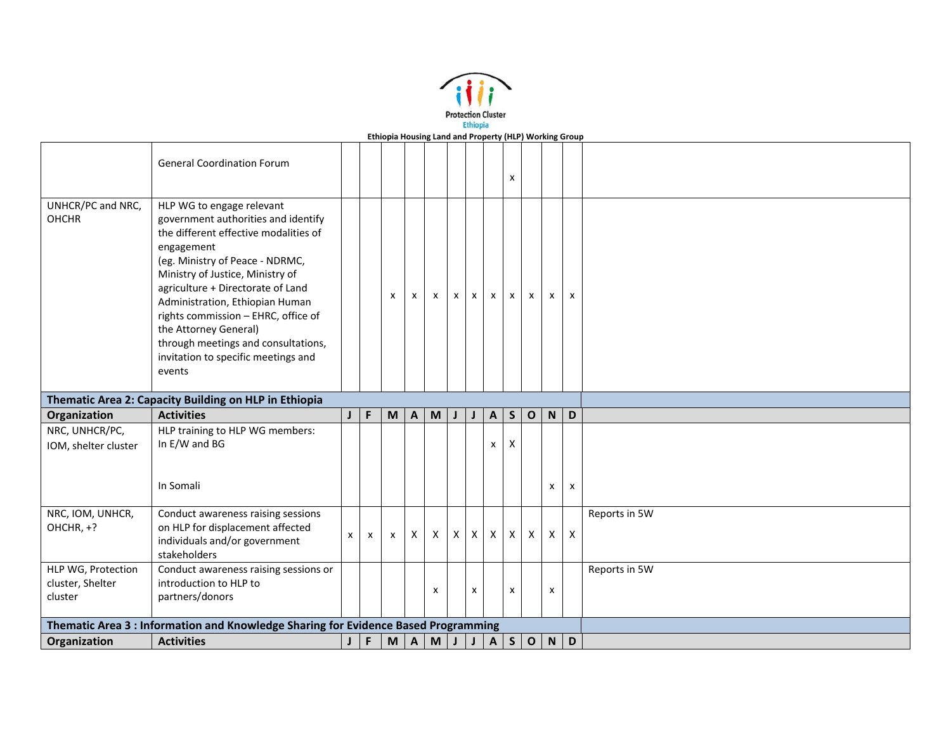

|                                   | <b>General Coordination Forum</b>                                                                                                                                                                                                                                                                                                                                                                                              |              |             |                                                                                       |              |                                                                                       |              |              |              | X            |              |             |                           |               |
|-----------------------------------|--------------------------------------------------------------------------------------------------------------------------------------------------------------------------------------------------------------------------------------------------------------------------------------------------------------------------------------------------------------------------------------------------------------------------------|--------------|-------------|---------------------------------------------------------------------------------------|--------------|---------------------------------------------------------------------------------------|--------------|--------------|--------------|--------------|--------------|-------------|---------------------------|---------------|
| UNHCR/PC and NRC,<br><b>OHCHR</b> | HLP WG to engage relevant<br>government authorities and identify<br>the different effective modalities of<br>engagement<br>(eg. Ministry of Peace - NDRMC,<br>Ministry of Justice, Ministry of<br>agriculture + Directorate of Land<br>Administration, Ethiopian Human<br>rights commission - EHRC, office of<br>the Attorney General)<br>through meetings and consultations,<br>invitation to specific meetings and<br>events |              |             | $\boldsymbol{\mathsf{x}}$                                                             | $\mathsf{x}$ | X                                                                                     | $\mathsf{x}$ | $\mathsf{x}$ | X            | $\mathsf{x}$ | $\mathsf{x}$ | x           | $\boldsymbol{\mathsf{x}}$ |               |
|                                   | Thematic Area 2: Capacity Building on HLP in Ethiopia                                                                                                                                                                                                                                                                                                                                                                          |              |             |                                                                                       |              |                                                                                       |              |              |              |              |              |             |                           |               |
| Organization                      | <b>Activities</b>                                                                                                                                                                                                                                                                                                                                                                                                              | $\mathsf{J}$ | $\mathsf F$ | $\mathsf{M}% _{T}=\mathsf{M}_{T}\!\left( a,b\right) ,\ \mathsf{M}_{T}=\mathsf{M}_{T}$ | A            | $\mathsf{M}% _{T}=\mathsf{M}_{T}\!\left( a,b\right) ,\ \mathsf{M}_{T}=\mathsf{M}_{T}$ | $\mathsf{J}$ | J            | $\mathbf{A}$ | S            | $\mathbf{o}$ | $\mathsf N$ | D                         |               |
| NRC, UNHCR/PC,                    | HLP training to HLP WG members:                                                                                                                                                                                                                                                                                                                                                                                                |              |             |                                                                                       |              |                                                                                       |              |              |              |              |              |             |                           |               |
| IOM, shelter cluster              | In E/W and BG                                                                                                                                                                                                                                                                                                                                                                                                                  |              |             |                                                                                       |              |                                                                                       |              |              | X            | X            |              |             |                           |               |
|                                   | In Somali                                                                                                                                                                                                                                                                                                                                                                                                                      |              |             |                                                                                       |              |                                                                                       |              |              |              |              |              | x           | $\pmb{\chi}$              |               |
| NRC, IOM, UNHCR,<br>OHCHR, +?     | Conduct awareness raising sessions<br>on HLP for displacement affected<br>individuals and/or government<br>stakeholders                                                                                                                                                                                                                                                                                                        | X            | X           | $\boldsymbol{\mathsf{x}}$                                                             | $\mathsf{X}$ | $\mathsf{x}$                                                                          | $\mathsf{X}$ | $\mathsf{X}$ | $\mathsf{X}$ | $\mathsf{X}$ | $\times$     | $\mathsf X$ | X                         | Reports in 5W |
| HLP WG, Protection                | Conduct awareness raising sessions or                                                                                                                                                                                                                                                                                                                                                                                          |              |             |                                                                                       |              |                                                                                       |              |              |              |              |              |             |                           | Reports in 5W |
| cluster, Shelter                  | introduction to HLP to                                                                                                                                                                                                                                                                                                                                                                                                         |              |             |                                                                                       |              |                                                                                       |              | x            |              | X            |              | x           |                           |               |
|                                   |                                                                                                                                                                                                                                                                                                                                                                                                                                |              |             |                                                                                       |              | х                                                                                     |              |              |              |              |              |             |                           |               |
| cluster                           | partners/donors                                                                                                                                                                                                                                                                                                                                                                                                                |              |             |                                                                                       |              |                                                                                       |              |              |              |              |              |             |                           |               |
|                                   | Thematic Area 3: Information and Knowledge Sharing for Evidence Based Programming                                                                                                                                                                                                                                                                                                                                              |              |             |                                                                                       |              |                                                                                       |              |              |              |              |              |             |                           |               |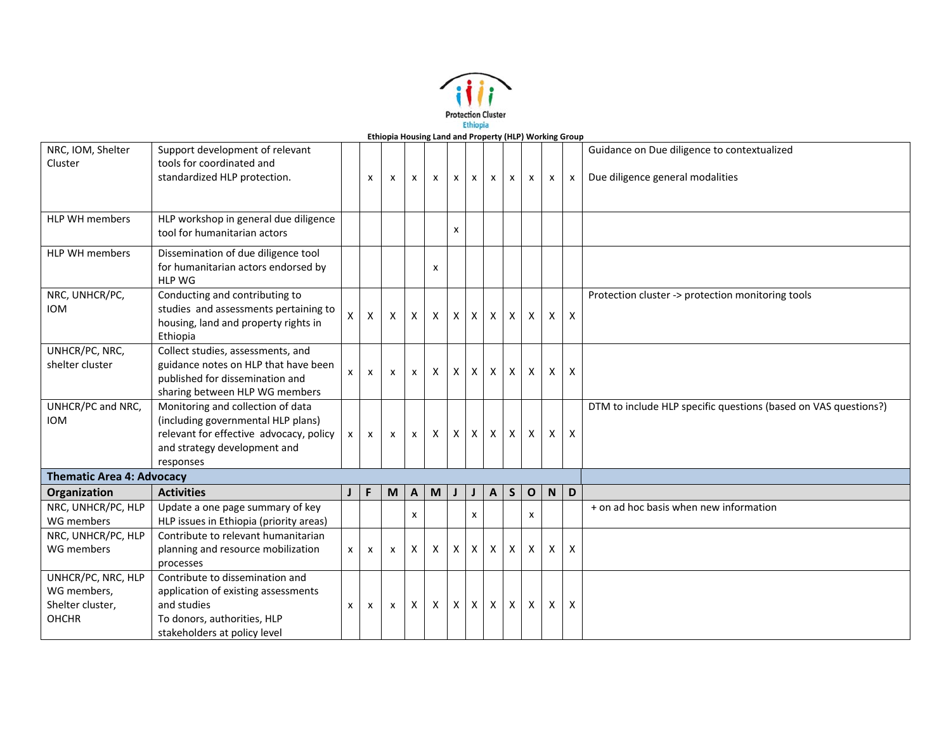

| NRC, IOM, Shelter                | Support development of relevant         |              |                           |              |                           |              |                    |                           |              |              |              |              |                           | Guidance on Due diligence to contextualized                     |
|----------------------------------|-----------------------------------------|--------------|---------------------------|--------------|---------------------------|--------------|--------------------|---------------------------|--------------|--------------|--------------|--------------|---------------------------|-----------------------------------------------------------------|
| Cluster                          | tools for coordinated and               |              |                           |              |                           |              |                    |                           |              |              |              |              |                           |                                                                 |
|                                  | standardized HLP protection.            |              | $\mathsf{x}$              | X            | $\mathsf{x}$              | $\mathsf{x}$ | $\mathsf{x}$       | $\boldsymbol{\mathsf{x}}$ | X            | $\mathsf{x}$ | $\mathsf{x}$ | x            | $\boldsymbol{\mathsf{x}}$ | Due diligence general modalities                                |
|                                  |                                         |              |                           |              |                           |              |                    |                           |              |              |              |              |                           |                                                                 |
|                                  |                                         |              |                           |              |                           |              |                    |                           |              |              |              |              |                           |                                                                 |
| HLP WH members                   | HLP workshop in general due diligence   |              |                           |              |                           |              |                    |                           |              |              |              |              |                           |                                                                 |
|                                  | tool for humanitarian actors            |              |                           |              |                           |              | x                  |                           |              |              |              |              |                           |                                                                 |
| HLP WH members                   | Dissemination of due diligence tool     |              |                           |              |                           |              |                    |                           |              |              |              |              |                           |                                                                 |
|                                  | for humanitarian actors endorsed by     |              |                           |              |                           | x            |                    |                           |              |              |              |              |                           |                                                                 |
|                                  | <b>HLP WG</b>                           |              |                           |              |                           |              |                    |                           |              |              |              |              |                           |                                                                 |
| NRC, UNHCR/PC,                   | Conducting and contributing to          |              |                           |              |                           |              |                    |                           |              |              |              |              |                           | Protection cluster -> protection monitoring tools               |
| <b>IOM</b>                       | studies and assessments pertaining to   | X.           | $\pmb{\times}$            | X            | X                         | $\mathsf{X}$ | X                  | $\boldsymbol{\mathsf{X}}$ | $\mathsf{X}$ | $\mathsf{X}$ | $\mathsf{X}$ | $\mathsf{X}$ | $\mathsf{X}$              |                                                                 |
|                                  | housing, land and property rights in    |              |                           |              |                           |              |                    |                           |              |              |              |              |                           |                                                                 |
|                                  | Ethiopia                                |              |                           |              |                           |              |                    |                           |              |              |              |              |                           |                                                                 |
| UNHCR/PC, NRC,                   | Collect studies, assessments, and       |              |                           |              |                           |              |                    |                           |              |              |              |              |                           |                                                                 |
| shelter cluster                  | guidance notes on HLP that have been    | x            | $\boldsymbol{\mathsf{x}}$ | $\mathsf{x}$ | $\boldsymbol{\mathsf{x}}$ | X            | X                  | $\mathsf{x}$              | $\times$     | X            | $\mathsf{x}$ | X            | $\mathsf{x}$              |                                                                 |
|                                  | published for dissemination and         |              |                           |              |                           |              |                    |                           |              |              |              |              |                           |                                                                 |
|                                  | sharing between HLP WG members          |              |                           |              |                           |              |                    |                           |              |              |              |              |                           |                                                                 |
| UNHCR/PC and NRC,                | Monitoring and collection of data       |              |                           |              |                           |              |                    |                           |              |              |              |              |                           | DTM to include HLP specific questions (based on VAS questions?) |
| <b>IOM</b>                       | (including governmental HLP plans)      |              |                           |              |                           |              |                    |                           |              |              |              |              |                           |                                                                 |
|                                  | relevant for effective advocacy, policy | $\mathsf{x}$ | X                         | X            | X                         | $\times$     | X                  | X                         | $\mathsf{X}$ | $\mathsf{X}$ | $\mathsf{x}$ | X            | $\mathsf{x}$              |                                                                 |
|                                  | and strategy development and            |              |                           |              |                           |              |                    |                           |              |              |              |              |                           |                                                                 |
|                                  | responses                               |              |                           |              |                           |              |                    |                           |              |              |              |              |                           |                                                                 |
| <b>Thematic Area 4: Advocacy</b> |                                         |              |                           |              |                           |              |                    |                           |              |              |              |              |                           |                                                                 |
| Organization                     | <b>Activities</b>                       | $\mathbf{J}$ | F                         | M            | $\boldsymbol{\mathsf{A}}$ | M            |                    | $\mathsf{J}$              | $\mathsf{A}$ | S            | $\mathbf{o}$ | N            | $\overline{D}$            |                                                                 |
| NRC, UNHCR/PC, HLP               | Update a one page summary of key        |              |                           |              | X                         |              |                    | x                         |              |              | $\mathsf{x}$ |              |                           | + on ad hoc basis when new information                          |
| WG members                       | HLP issues in Ethiopia (priority areas) |              |                           |              |                           |              |                    |                           |              |              |              |              |                           |                                                                 |
| NRC, UNHCR/PC, HLP               | Contribute to relevant humanitarian     |              |                           |              |                           |              |                    |                           |              |              |              |              |                           |                                                                 |
| WG members                       | planning and resource mobilization      | $\mathsf{x}$ | $\pmb{\times}$            | X            | X                         | X            | X                  | $\boldsymbol{\mathsf{X}}$ | X            | X            | X            | X            | $\mathsf{X}$              |                                                                 |
|                                  | processes                               |              |                           |              |                           |              |                    |                           |              |              |              |              |                           |                                                                 |
| UNHCR/PC, NRC, HLP               | Contribute to dissemination and         |              |                           |              |                           |              |                    |                           |              |              |              |              |                           |                                                                 |
| WG members,                      | application of existing assessments     |              |                           |              |                           |              |                    |                           |              |              |              |              |                           |                                                                 |
| Shelter cluster,                 | and studies                             | $\mathsf{x}$ | $\mathsf{x}$              | X            | X                         | X            | $\pmb{\mathsf{X}}$ | $\boldsymbol{\mathsf{X}}$ | $\mathsf{X}$ | $\mathsf{X}$ | $\mathsf{X}$ | X            | X                         |                                                                 |
| <b>OHCHR</b>                     | To donors, authorities, HLP             |              |                           |              |                           |              |                    |                           |              |              |              |              |                           |                                                                 |
|                                  | stakeholders at policy level            |              |                           |              |                           |              |                    |                           |              |              |              |              |                           |                                                                 |